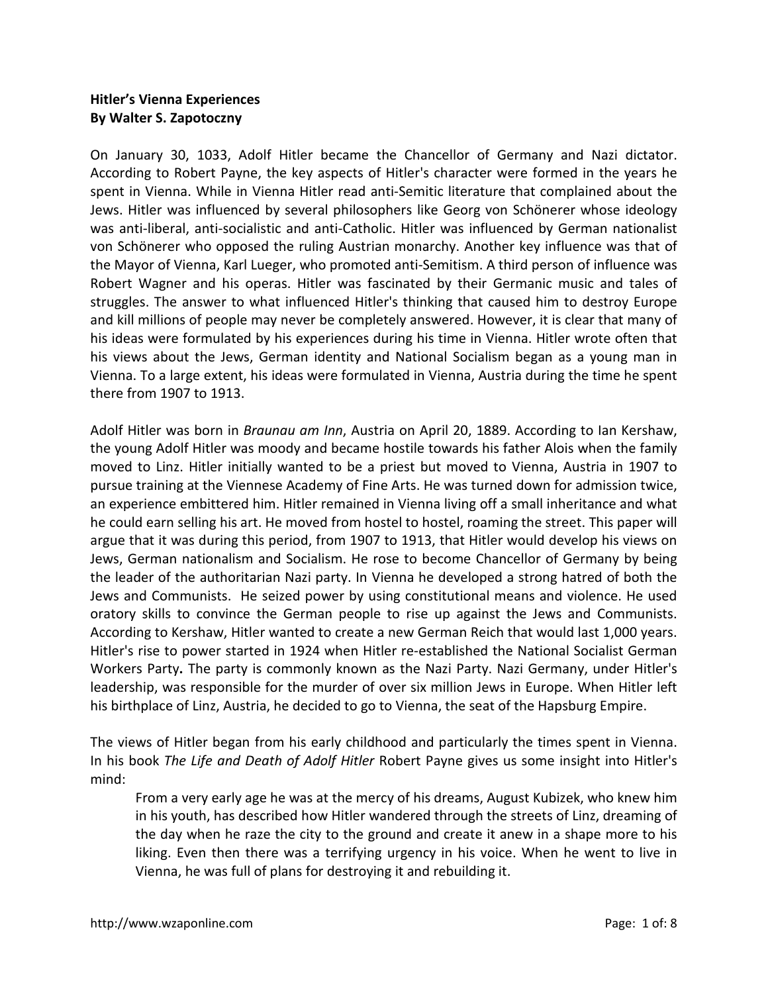# **Hitler's Vienna Experiences By Walter S. Zapotoczny**

On January 30, 1033, Adolf Hitler became the Chancellor of Germany and Nazi dictator. According to Robert Payne, the key aspects of Hitler's character were formed in the years he spent in Vienna. While in Vienna Hitler read anti-Semitic literature that complained about the Jews. Hitler was influenced by several philosophers like Georg von Schönerer whose ideology was anti-liberal, anti-socialistic and anti-Catholic. Hitler was influenced by German nationalist von Schönerer who opposed the ruling Austrian monarchy. Another key influence was that of the Mayor of Vienna, Karl Lueger, who promoted anti-Semitism. A third person of influence was Robert Wagner and his operas. Hitler was fascinated by their Germanic music and tales of struggles. The answer to what influenced Hitler's thinking that caused him to destroy Europe and kill millions of people may never be completely answered. However, it is clear that many of his ideas were formulated by his experiences during his time in Vienna. Hitler wrote often that his views about the Jews, German identity and National Socialism began as a young man in Vienna. To a large extent, his ideas were formulated in Vienna, Austria during the time he spent there from 1907 to 1913.

Adolf Hitler was born in *Braunau am Inn*, Austria on April 20, 1889. According to Ian Kershaw, the young Adolf Hitler was moody and became hostile towards his father Alois when the family moved to Linz. Hitler initially wanted to be a priest but moved to Vienna, Austria in 1907 to pursue training at the Viennese Academy of Fine Arts. He was turned down for admission twice, an experience embittered him. Hitler remained in Vienna living off a small inheritance and what he could earn selling his art. He moved from hostel to hostel, roaming the street. This paper will argue that it was during this period, from 1907 to 1913, that Hitler would develop his views on Jews, German nationalism and Socialism. He rose to become Chancellor of Germany by being the leader of the authoritarian Nazi party. In Vienna he developed a strong hatred of both the Jews and Communists. He seized power by using constitutional means and violence. He used oratory skills to convince the German people to rise up against the Jews and Communists. According to Kershaw, Hitler wanted to create a new German Reich that would last 1,000 years. Hitler's rise to power started in 1924 when Hitler re-established the National Socialist German Workers Party**.** The party is commonly known as the Nazi Party. Nazi Germany, under Hitler's leadership, was responsible for the murder of over six million Jews in Europe. When Hitler left his birthplace of Linz, Austria, he decided to go to Vienna, the seat of the Hapsburg Empire.

The views of Hitler began from his early childhood and particularly the times spent in Vienna. In his book *The Life and Death of Adolf Hitler* Robert Payne gives us some insight into Hitler's mind:

From a very early age he was at the mercy of his dreams, August Kubizek, who knew him in his youth, has described how Hitler wandered through the streets of Linz, dreaming of the day when he raze the city to the ground and create it anew in a shape more to his liking. Even then there was a terrifying urgency in his voice. When he went to live in Vienna, he was full of plans for destroying it and rebuilding it.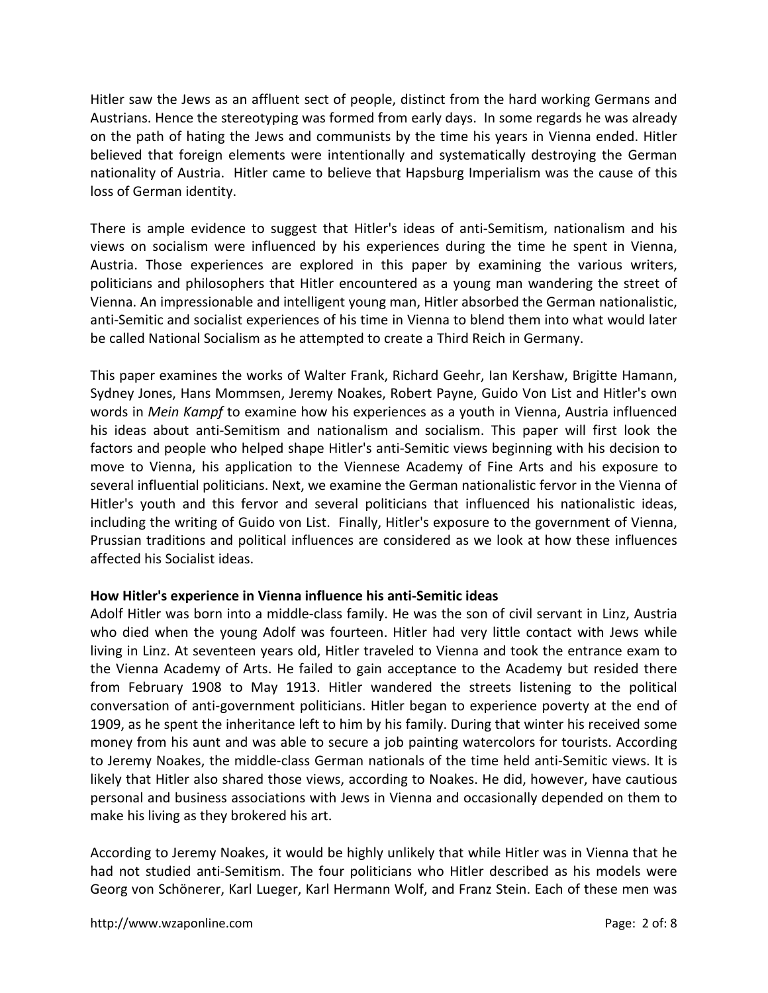Hitler saw the Jews as an affluent sect of people, distinct from the hard working Germans and Austrians. Hence the stereotyping was formed from early days. In some regards he was already on the path of hating the Jews and communists by the time his years in Vienna ended. Hitler believed that foreign elements were intentionally and systematically destroying the German nationality of Austria. Hitler came to believe that Hapsburg Imperialism was the cause of this loss of German identity.

There is ample evidence to suggest that Hitler's ideas of anti-Semitism, nationalism and his views on socialism were influenced by his experiences during the time he spent in Vienna, Austria. Those experiences are explored in this paper by examining the various writers, politicians and philosophers that Hitler encountered as a young man wandering the street of Vienna. An impressionable and intelligent young man, Hitler absorbed the German nationalistic, anti-Semitic and socialist experiences of his time in Vienna to blend them into what would later be called National Socialism as he attempted to create a Third Reich in Germany.

This paper examines the works of Walter Frank, Richard Geehr, Ian Kershaw, Brigitte Hamann, Sydney Jones, Hans Mommsen, Jeremy Noakes, Robert Payne, Guido Von List and Hitler's own words in *Mein Kampf* to examine how his experiences as a youth in Vienna, Austria influenced his ideas about anti-Semitism and nationalism and socialism. This paper will first look the factors and people who helped shape Hitler's anti-Semitic views beginning with his decision to move to Vienna, his application to the Viennese Academy of Fine Arts and his exposure to several influential politicians. Next, we examine the German nationalistic fervor in the Vienna of Hitler's youth and this fervor and several politicians that influenced his nationalistic ideas, including the writing of Guido von List. Finally, Hitler's exposure to the government of Vienna, Prussian traditions and political influences are considered as we look at how these influences affected his Socialist ideas.

# **How Hitler's experience in Vienna influence his anti-Semitic ideas**

Adolf Hitler was born into a middle-class family. He was the son of civil servant in Linz, Austria who died when the young Adolf was fourteen. Hitler had very little contact with Jews while living in Linz. At seventeen years old, Hitler traveled to Vienna and took the entrance exam to the Vienna Academy of Arts. He failed to gain acceptance to the Academy but resided there from February 1908 to May 1913. Hitler wandered the streets listening to the political conversation of anti-government politicians. Hitler began to experience poverty at the end of 1909, as he spent the inheritance left to him by his family. During that winter his received some money from his aunt and was able to secure a job painting watercolors for tourists. According to Jeremy Noakes, the middle-class German nationals of the time held anti-Semitic views. It is likely that Hitler also shared those views, according to Noakes. He did, however, have cautious personal and business associations with Jews in Vienna and occasionally depended on them to make his living as they brokered his art.

According to Jeremy Noakes, it would be highly unlikely that while Hitler was in Vienna that he had not studied anti-Semitism. The four politicians who Hitler described as his models were Georg von Schönerer, Karl Lueger, Karl Hermann Wolf, and Franz Stein. Each of these men was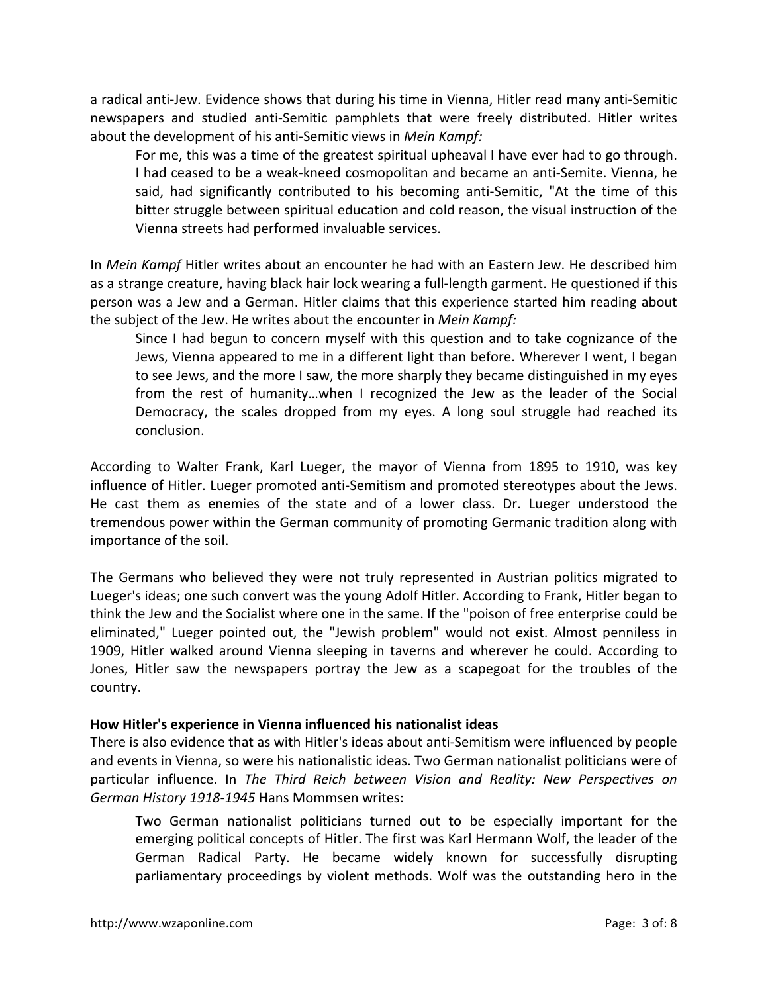a radical anti-Jew. Evidence shows that during his time in Vienna, Hitler read many anti-Semitic newspapers and studied anti-Semitic pamphlets that were freely distributed. Hitler writes about the development of his anti-Semitic views in *Mein Kampf:*

For me, this was a time of the greatest spiritual upheaval I have ever had to go through. I had ceased to be a weak-kneed cosmopolitan and became an anti-Semite. Vienna, he said, had significantly contributed to his becoming anti-Semitic, "At the time of this bitter struggle between spiritual education and cold reason, the visual instruction of the Vienna streets had performed invaluable services.

In *Mein Kampf* Hitler writes about an encounter he had with an Eastern Jew. He described him as a strange creature, having black hair lock wearing a full-length garment. He questioned if this person was a Jew and a German. Hitler claims that this experience started him reading about the subject of the Jew. He writes about the encounter in *Mein Kampf:*

Since I had begun to concern myself with this question and to take cognizance of the Jews, Vienna appeared to me in a different light than before. Wherever I went, I began to see Jews, and the more I saw, the more sharply they became distinguished in my eyes from the rest of humanity…when I recognized the Jew as the leader of the Social Democracy, the scales dropped from my eyes. A long soul struggle had reached its conclusion.

According to Walter Frank, Karl Lueger, the mayor of Vienna from 1895 to 1910, was key influence of Hitler. Lueger promoted anti-Semitism and promoted stereotypes about the Jews. He cast them as enemies of the state and of a lower class. Dr. Lueger understood the tremendous power within the German community of promoting Germanic tradition along with importance of the soil.

The Germans who believed they were not truly represented in Austrian politics migrated to Lueger's ideas; one such convert was the young Adolf Hitler. According to Frank, Hitler began to think the Jew and the Socialist where one in the same. If the "poison of free enterprise could be eliminated," Lueger pointed out, the "Jewish problem" would not exist. Almost penniless in 1909, Hitler walked around Vienna sleeping in taverns and wherever he could. According to Jones, Hitler saw the newspapers portray the Jew as a scapegoat for the troubles of the country.

# **How Hitler's experience in Vienna influenced his nationalist ideas**

There is also evidence that as with Hitler's ideas about anti-Semitism were influenced by people and events in Vienna, so were his nationalistic ideas. Two German nationalist politicians were of particular influence. In *The Third Reich between Vision and Reality: New Perspectives on German History 1918-1945* Hans Mommsen writes:

Two German nationalist politicians turned out to be especially important for the emerging political concepts of Hitler. The first was Karl Hermann Wolf, the leader of the German Radical Party. He became widely known for successfully disrupting parliamentary proceedings by violent methods. Wolf was the outstanding hero in the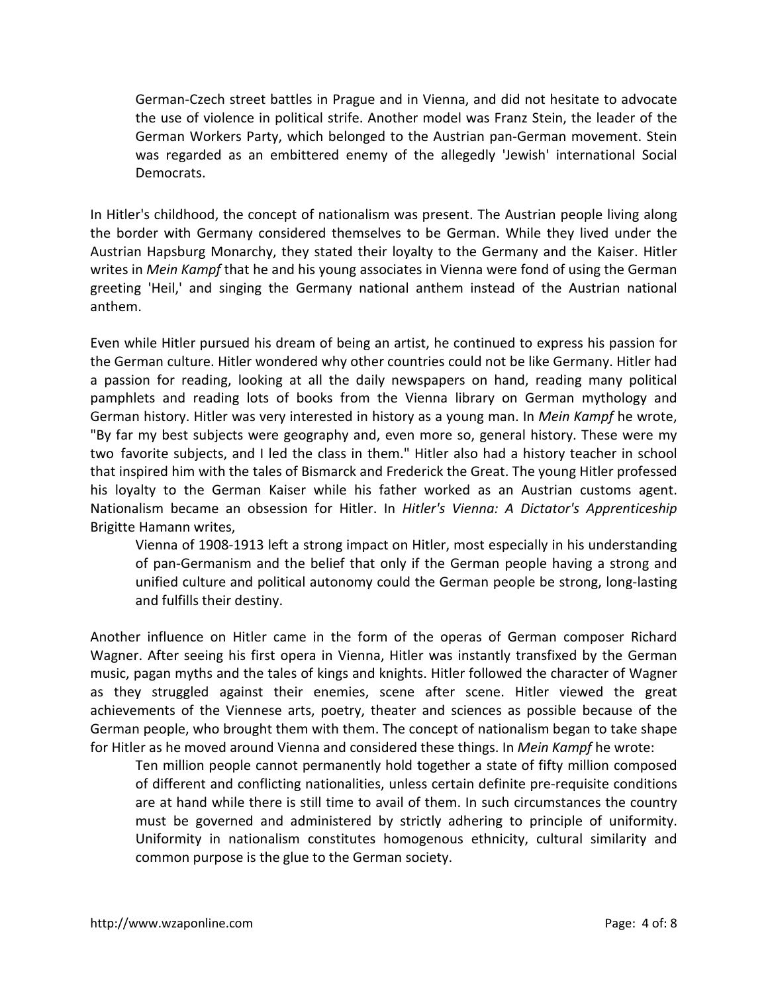German-Czech street battles in Prague and in Vienna, and did not hesitate to advocate the use of violence in political strife. Another model was Franz Stein, the leader of the German Workers Party, which belonged to the Austrian pan-German movement. Stein was regarded as an embittered enemy of the allegedly 'Jewish' international Social Democrats.

In Hitler's childhood, the concept of nationalism was present. The Austrian people living along the border with Germany considered themselves to be German. While they lived under the Austrian Hapsburg Monarchy, they stated their loyalty to the Germany and the Kaiser. Hitler writes in *Mein Kampf* that he and his young associates in Vienna were fond of using the German greeting 'Heil,' and singing the Germany national anthem instead of the Austrian national anthem.

Even while Hitler pursued his dream of being an artist, he continued to express his passion for the German culture. Hitler wondered why other countries could not be like Germany. Hitler had a passion for reading, looking at all the daily newspapers on hand, reading many political pamphlets and reading lots of books from the Vienna library on German mythology and German history. Hitler was very interested in history as a young man. In *Mein Kampf* he wrote, "By far my best subjects were geography and, even more so, general history. These were my two favorite subjects, and I led the class in them." Hitler also had a history teacher in school that inspired him with the tales of Bismarck and Frederick the Great. The young Hitler professed his loyalty to the German Kaiser while his father worked as an Austrian customs agent. Nationalism became an obsession for Hitler. In *Hitler's Vienna: A Dictator's Apprenticeship* Brigitte Hamann writes,

Vienna of 1908-1913 left a strong impact on Hitler, most especially in his understanding of pan-Germanism and the belief that only if the German people having a strong and unified culture and political autonomy could the German people be strong, long-lasting and fulfills their destiny.

Another influence on Hitler came in the form of the operas of German composer Richard Wagner. After seeing his first opera in Vienna, Hitler was instantly transfixed by the German music, pagan myths and the tales of kings and knights. Hitler followed the character of Wagner as they struggled against their enemies, scene after scene. Hitler viewed the great achievements of the Viennese arts, poetry, theater and sciences as possible because of the German people, who brought them with them. The concept of nationalism began to take shape for Hitler as he moved around Vienna and considered these things. In *Mein Kampf* he wrote:

Ten million people cannot permanently hold together a state of fifty million composed of different and conflicting nationalities, unless certain definite pre-requisite conditions are at hand while there is still time to avail of them. In such circumstances the country must be governed and administered by strictly adhering to principle of uniformity. Uniformity in nationalism constitutes homogenous ethnicity, cultural similarity and common purpose is the glue to the German society.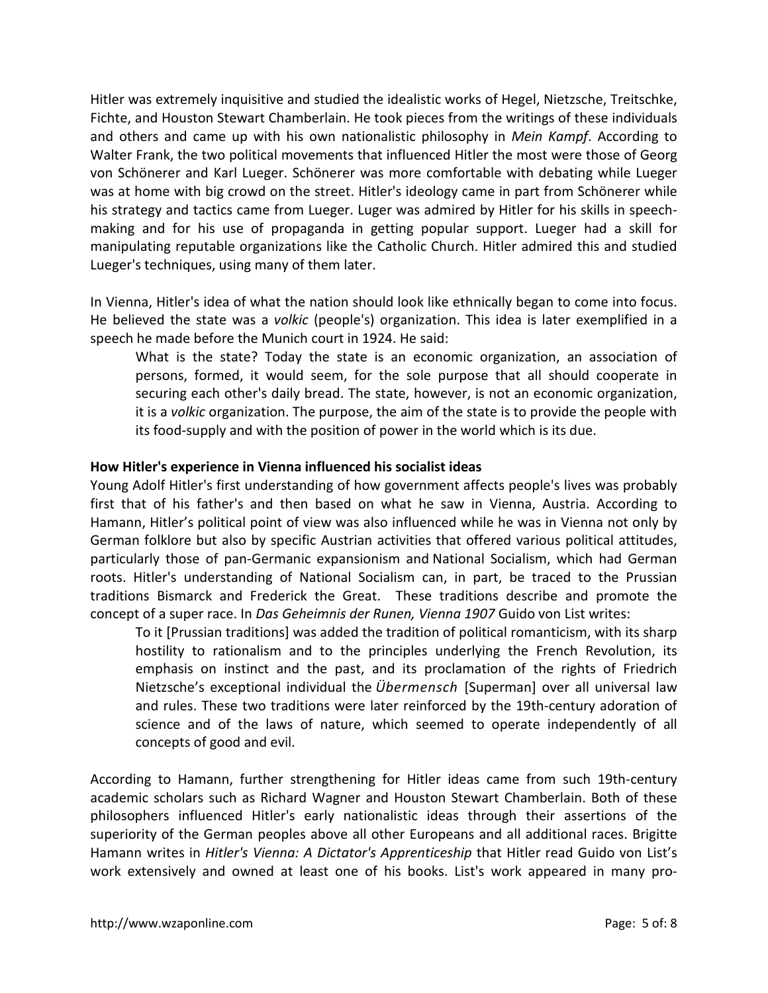Hitler was extremely inquisitive and studied the idealistic works of Hegel, Nietzsche, Treitschke, Fichte, and Houston Stewart Chamberlain. He took pieces from the writings of these individuals and others and came up with his own nationalistic philosophy in *Mein Kampf*. According to Walter Frank, the two political movements that influenced Hitler the most were those of Georg von Schönerer and Karl Lueger. Schönerer was more comfortable with debating while Lueger was at home with big crowd on the street. Hitler's ideology came in part from Schönerer while his strategy and tactics came from Lueger. Luger was admired by Hitler for his skills in speechmaking and for his use of propaganda in getting popular support. Lueger had a skill for manipulating reputable organizations like the Catholic Church. Hitler admired this and studied Lueger's techniques, using many of them later.

In Vienna, Hitler's idea of what the nation should look like ethnically began to come into focus. He believed the state was a *volkic* (people's) organization. This idea is later exemplified in a speech he made before the Munich court in 1924. He said:

What is the state? Today the state is an economic organization, an association of persons, formed, it would seem, for the sole purpose that all should cooperate in securing each other's daily bread. The state, however, is not an economic organization, it is a *volkic* organization. The purpose, the aim of the state is to provide the people with its food-supply and with the position of power in the world which is its due.

# **How Hitler's experience in Vienna influenced his socialist ideas**

Young Adolf Hitler's first understanding of how government affects people's lives was probably first that of his father's and then based on what he saw in Vienna, Austria. According to Hamann, Hitler's political point of view was also influenced while he was in Vienna not only by German folklore but also by specific Austrian activities that offered various political attitudes, particularly those of pan-Germanic expansionism and National Socialism, which had German roots. Hitler's understanding of National Socialism can, in part, be traced to the Prussian traditions Bismarck and Frederick the Great. These traditions describe and promote the concept of a super race. In *Das Geheimnis der Runen, Vienna 1907* Guido von List writes:

To it [Prussian traditions] was added the tradition of political romanticism, with its sharp hostility to rationalism and to the principles underlying the French Revolution, its emphasis on instinct and the past, and its proclamation of the rights of Friedrich Nietzsche's exceptional individual the *Übermensch* [Superman] over all universal law and rules. These two traditions were later reinforced by the 19th-century adoration of science and of the laws of nature, which seemed to operate independently of all concepts of good and evil.

According to Hamann, further strengthening for Hitler ideas came from such 19th-century academic scholars such as Richard Wagner and Houston Stewart Chamberlain. Both of these philosophers influenced Hitler's early nationalistic ideas through their assertions of the superiority of the German peoples above all other Europeans and all additional races. Brigitte Hamann writes in *Hitler's Vienna: A Dictator's Apprenticeship* that Hitler read Guido von List's work extensively and owned at least one of his books. List's work appeared in many pro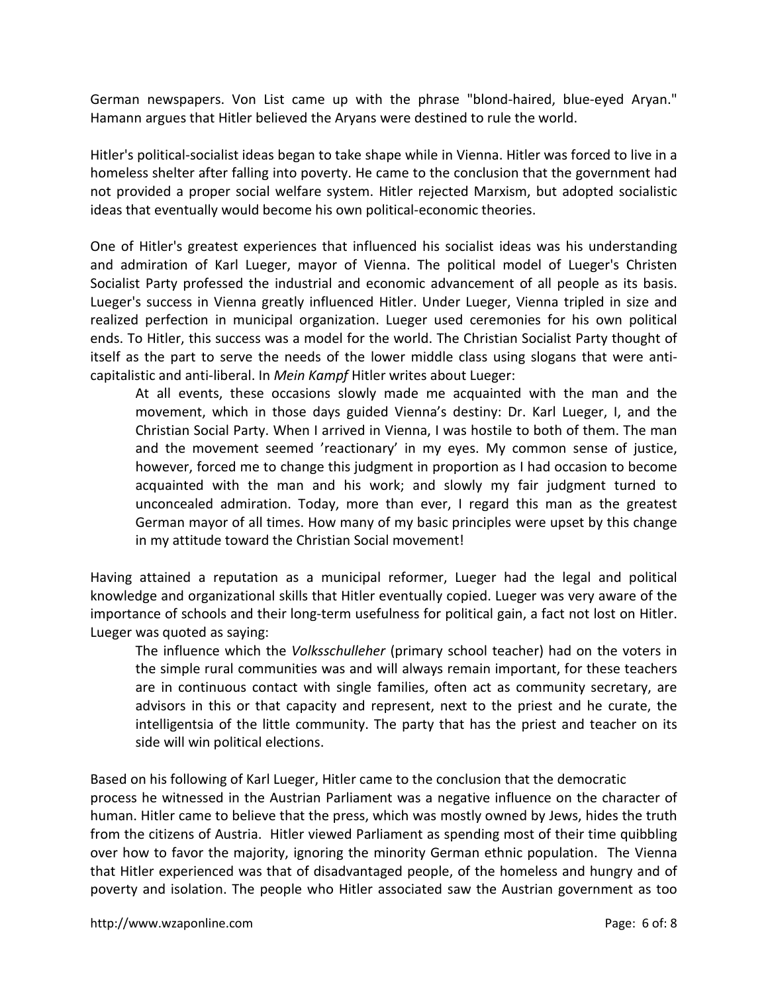German newspapers. Von List came up with the phrase "blond-haired, blue-eyed Aryan." Hamann argues that Hitler believed the Aryans were destined to rule the world.

Hitler's political-socialist ideas began to take shape while in Vienna. Hitler was forced to live in a homeless shelter after falling into poverty. He came to the conclusion that the government had not provided a proper social welfare system. Hitler rejected Marxism, but adopted socialistic ideas that eventually would become his own political-economic theories.

One of Hitler's greatest experiences that influenced his socialist ideas was his understanding and admiration of Karl Lueger, mayor of Vienna. The political model of Lueger's Christen Socialist Party professed the industrial and economic advancement of all people as its basis. Lueger's success in Vienna greatly influenced Hitler. Under Lueger, Vienna tripled in size and realized perfection in municipal organization. Lueger used ceremonies for his own political ends. To Hitler, this success was a model for the world. The Christian Socialist Party thought of itself as the part to serve the needs of the lower middle class using slogans that were anticapitalistic and anti-liberal. In *Mein Kampf* Hitler writes about Lueger:

At all events, these occasions slowly made me acquainted with the man and the movement, which in those days guided Vienna's destiny: Dr. Karl Lueger, I, and the Christian Social Party. When I arrived in Vienna, I was hostile to both of them. The man and the movement seemed 'reactionary' in my eyes. My common sense of justice, however, forced me to change this judgment in proportion as I had occasion to become acquainted with the man and his work; and slowly my fair judgment turned to unconcealed admiration. Today, more than ever, I regard this man as the greatest German mayor of all times. How many of my basic principles were upset by this change in my attitude toward the Christian Social movement!

Having attained a reputation as a municipal reformer, Lueger had the legal and political knowledge and organizational skills that Hitler eventually copied. Lueger was very aware of the importance of schools and their long-term usefulness for political gain, a fact not lost on Hitler. Lueger was quoted as saying:

The influence which the *Volksschulleher* (primary school teacher) had on the voters in the simple rural communities was and will always remain important, for these teachers are in continuous contact with single families, often act as community secretary, are advisors in this or that capacity and represent, next to the priest and he curate, the intelligentsia of the little community. The party that has the priest and teacher on its side will win political elections.

Based on his following of Karl Lueger, Hitler came to the conclusion that the democratic process he witnessed in the Austrian Parliament was a negative influence on the character of human. Hitler came to believe that the press, which was mostly owned by Jews, hides the truth from the citizens of Austria. Hitler viewed Parliament as spending most of their time quibbling over how to favor the majority, ignoring the minority German ethnic population. The Vienna that Hitler experienced was that of disadvantaged people, of the homeless and hungry and of poverty and isolation. The people who Hitler associated saw the Austrian government as too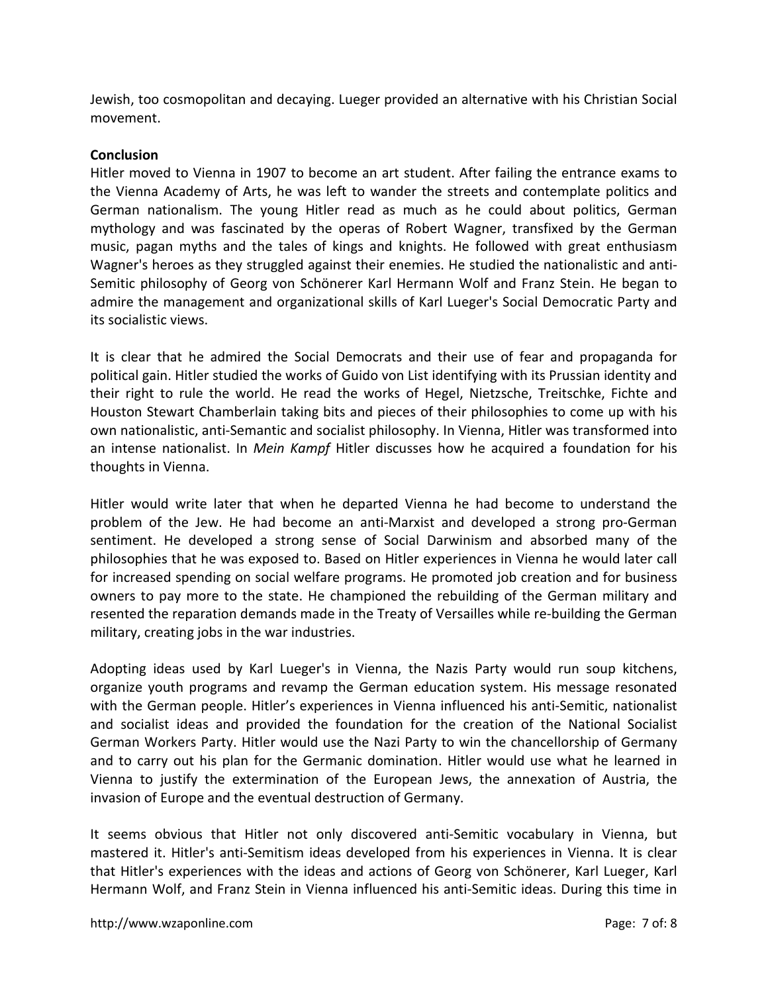Jewish, too cosmopolitan and decaying. Lueger provided an alternative with his Christian Social movement.

### **Conclusion**

Hitler moved to Vienna in 1907 to become an art student. After failing the entrance exams to the Vienna Academy of Arts, he was left to wander the streets and contemplate politics and German nationalism. The young Hitler read as much as he could about politics, German mythology and was fascinated by the operas of Robert Wagner, transfixed by the German music, pagan myths and the tales of kings and knights. He followed with great enthusiasm Wagner's heroes as they struggled against their enemies. He studied the nationalistic and anti-Semitic philosophy of Georg von Schönerer Karl Hermann Wolf and Franz Stein. He began to admire the management and organizational skills of Karl Lueger's Social Democratic Party and its socialistic views.

It is clear that he admired the Social Democrats and their use of fear and propaganda for political gain. Hitler studied the works of Guido von List identifying with its Prussian identity and their right to rule the world. He read the works of Hegel, Nietzsche, Treitschke, Fichte and Houston Stewart Chamberlain taking bits and pieces of their philosophies to come up with his own nationalistic, anti-Semantic and socialist philosophy. In Vienna, Hitler was transformed into an intense nationalist. In *Mein Kampf* Hitler discusses how he acquired a foundation for his thoughts in Vienna.

Hitler would write later that when he departed Vienna he had become to understand the problem of the Jew. He had become an anti-Marxist and developed a strong pro-German sentiment. He developed a strong sense of Social Darwinism and absorbed many of the philosophies that he was exposed to. Based on Hitler experiences in Vienna he would later call for increased spending on social welfare programs. He promoted job creation and for business owners to pay more to the state. He championed the rebuilding of the German military and resented the reparation demands made in the Treaty of Versailles while re-building the German military, creating jobs in the war industries.

Adopting ideas used by Karl Lueger's in Vienna, the Nazis Party would run soup kitchens, organize youth programs and revamp the German education system. His message resonated with the German people. Hitler's experiences in Vienna influenced his anti-Semitic, nationalist and socialist ideas and provided the foundation for the creation of the National Socialist German Workers Party. Hitler would use the Nazi Party to win the chancellorship of Germany and to carry out his plan for the Germanic domination. Hitler would use what he learned in Vienna to justify the extermination of the European Jews, the annexation of Austria, the invasion of Europe and the eventual destruction of Germany.

It seems obvious that Hitler not only discovered anti-Semitic vocabulary in Vienna, but mastered it. Hitler's anti-Semitism ideas developed from his experiences in Vienna. It is clear that Hitler's experiences with the ideas and actions of Georg von Schönerer, Karl Lueger, Karl Hermann Wolf, and Franz Stein in Vienna influenced his anti-Semitic ideas. During this time in